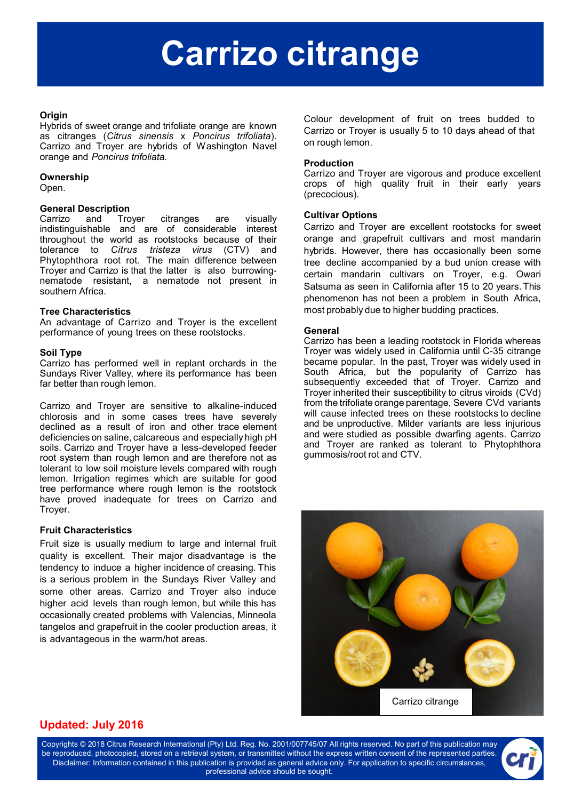# **Carrizo citrange**

#### **Origin**

Hybrids of sweet orange and trifoliate orange are known as citranges (*Citrus sinensis* x *Poncirus trifoliata*). Carrizo and Troyer are hybrids of Washington Navel orange and *Poncirus trifoliata.*

#### **Ownership**

Open.

#### **General Description**

Carrizo and Troyer citranges are visually indistinguishable and are of considerable interest throughout the world as rootstocks because of their tolerance to *Citrus tristeza virus* (CTV) and Phytophthora root rot. The main difference between Troyer and Carrizo is that the latter is also burrowingnematode resistant, a nematode not present in southern Africa.

#### **Tree Characteristics**

An advantage of Carrizo and Troyer is the excellent performance of young trees on these rootstocks.

### **Soil Type**

Carrizo has performed well in replant orchards in the Sundays River Valley, where its performance has been far better than rough lemon.

Carrizo and Troyer are sensitive to alkaline-induced chlorosis and in some cases trees have severely declined as a result of iron and other trace element deficiencies on saline, calcareous and especially high pH soils. Carrizo and Troyer have a less-developed feeder root system than rough lemon and are therefore not as tolerant to low soil moisture levels compared with rough lemon. Irrigation regimes which are suitable for good tree performance where rough lemon is the rootstock have proved inadequate for trees on Carrizo and Troyer.

#### **Fruit Characteristics**

Fruit size is usually medium to large and internal fruit quality is excellent. Their major disadvantage is the tendency to induce a higher incidence of creasing. This is a serious problem in the Sundays River Valley and some other areas. Carrizo and Troyer also induce higher acid levels than rough lemon, but while this has occasionally created problems with Valencias, Minneola tangelos and grapefruit in the cooler production areas, it is advantageous in the warm/hot areas.

Colour development of fruit on trees budded to Carrizo or Troyer is usually 5 to 10 days ahead of that on rough lemon.

#### **Production**

Carrizo and Troyer are vigorous and produce excellent crops of high quality fruit in their early years (precocious).

#### **Cultivar Options**

Carrizo and Troyer are excellent rootstocks for sweet orange and grapefruit cultivars and most mandarin hybrids. However, there has occasionally been some tree decline accompanied by a bud union crease with certain mandarin cultivars on Troyer, e.g. Owari Satsuma as seen in California after 15 to 20 years. This phenomenon has not been a problem in South Africa, most probably due to higher budding practices.

#### **General**

Carrizo has been a leading rootstock in Florida whereas Troyer was widely used in California until C-35 citrange became popular. In the past, Troyer was widely used in South Africa, but the popularity of Carrizo has subsequently exceeded that of Troyer. Carrizo and Troyer inherited their susceptibility to citrus viroids (CVd) from the trifoliate orange parentage Severe CVd variants will cause infected trees on these rootstocks to decline and be unproductive. Milder variants are less injurious and were studied as possible dwarfing agents. Carrizo and Troyer are ranked as tolerant to Phytophthora gummosis/root rot and CTV.



## **Updated: July 2016**

Copyrights © 2018 Citrus Research International (Pty) Ltd. Reg. No. 2001/007745/07 All rights reserved. No part of this publication may be reproduced, photocopied, stored on a retrieval system, or transmitted without the express written consent of the represented parties. Disclaimer: Information contained in this publication is provided as general advice only. For application to specific circumstances, professional advice should be sought.